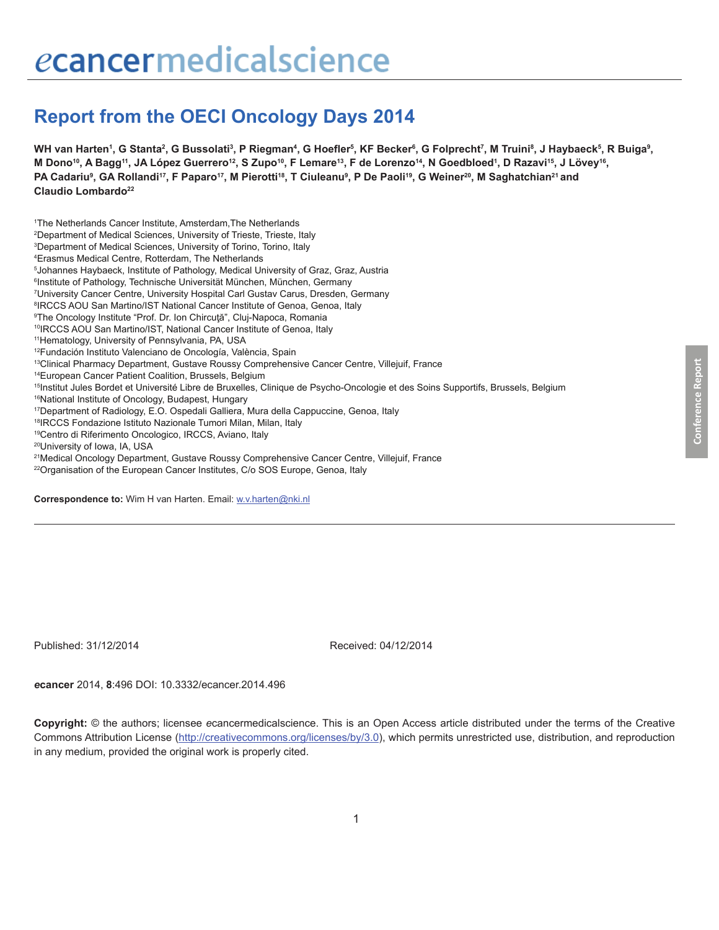# **Report from the OECI Oncology Days 2014**

WH van Harten', G Stanta<sup>2</sup>, G Bussolati<sup>3</sup>, P Riegman<sup>4</sup>, G Hoefler<sup>5</sup>, KF Becker<sup>6</sup>, G Folprecht<sup>7</sup>, M Truini<sup>8</sup>, J Haybaeck<sup>5</sup>, R Buiga<sup>9</sup>, M Dono<sup>10</sup>, A Bagg<sup>11</sup>, JA López Guerrero<sup>12</sup>, S Zupo<sup>10</sup>, F Lemare<sup>13</sup>, F de Lorenzo<sup>14</sup>, N Goedbloed<sup>1</sup>, D Razavi<sup>15</sup>, J Lövey<sup>16</sup>, PA Cadariu<sup>s</sup>, GA Rollandi<sup>17</sup>, F Paparo<sup>17</sup>, M Pierotti<sup>18</sup>, T Ciuleanu<sup>s</sup>, P De Paoli<sup>19</sup>, G Weiner<sup>20</sup>, M Saghatchian<sup>21</sup> and **Claudio Lombardo22**

1 The Netherlands Cancer Institute, Amsterdam,The Netherlands

- 2 Department of Medical Sciences, University of Trieste, Trieste, Italy
- 3 Department of Medical Sciences, University of Torino, Torino, Italy
- 4 Erasmus Medical Centre, Rotterdam, The Netherlands
- 5 Johannes Haybaeck, Institute of Pathology, Medical University of Graz, Graz, Austria
- 6 Institute of Pathology, Technische Universität München, München, Germany
- 7 University Cancer Centre, University Hospital Carl Gustav Carus, Dresden, Germany
- 8 IRCCS AOU San Martino/IST National Cancer Institute of Genoa, Genoa, Italy
- 9 The Oncology Institute "Prof. Dr. Ion Chircuţă", Cluj-Napoca, Romania
- 10IRCCS AOU San Martino/IST, National Cancer Institute of Genoa, Italy
- 11Hematology, University of Pennsylvania, PA, USA
- 12 Fundación Instituto Valenciano de Oncología, València, Spain
- 13 Clinical Pharmacy Department, Gustave Roussy Comprehensive Cancer Centre, Villejuif, France
- 14 European Cancer Patient Coalition, Brussels, Belgium
- 15 Institut Jules Bordet et Université Libre de Bruxelles, Clinique de Psycho-Oncologie et des Soins Supportifs, Brussels, Belgium
- 16 National Institute of Oncology, Budapest, Hungary
- 17 Department of Radiology, E.O. Ospedali Galliera, Mura della Cappuccine, Genoa, Italy
- 18 IRCCS Fondazione Istituto Nazionale Tumori Milan, Milan, Italy
- 19 Centro di Riferimento Oncologico, IRCCS, Aviano, Italy
- 20University of Iowa, IA, USA
- <sup>21</sup>Medical Oncology Department, Gustave Roussy Comprehensive Cancer Centre, Villejuif, France
- 22 Organisation of the European Cancer Institutes, C/o SOS Europe, Genoa, Italy

**Correspondence to:** Wim H van Harten. Email: w.v.harten@nki.nl

Published: 31/12/2014 Received: 04/12/2014

*e***cancer** 2014, **8**:496 DOI: 10.3332/ecancer.2014.496

**Copyright:** © the authors; licensee *e*cancermedicalscience. This is an Open Access article distributed under the terms of the Creative Commons Attribution License (http://creativecommons.org/licenses/by/3.0), which permits unrestricted use, distribution, and reproduction in any medium, provided the original work is properly cited.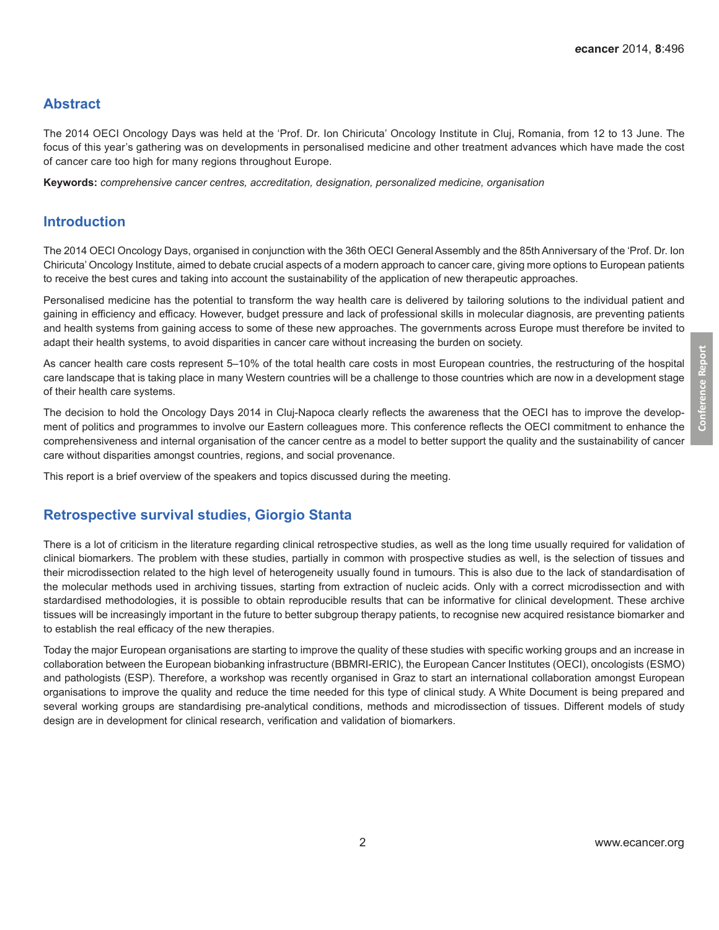## **Abstract**

The 2014 OECI Oncology Days was held at the 'Prof. Dr. Ion Chiricuta' Oncology Institute in Cluj, Romania, from 12 to 13 June. The focus of this year's gathering was on developments in personalised medicine and other treatment advances which have made the cost of cancer care too high for many regions throughout Europe.

**Keywords:** *comprehensive cancer centres, accreditation, designation, personalized medicine, organisation* 

#### **Introduction**

The 2014 OECI Oncology Days, organised in conjunction with the 36th OECI General Assembly and the 85th Anniversary of the 'Prof. Dr. Ion Chiricuta' Oncology Institute, aimed to debate crucial aspects of a modern approach to cancer care, giving more options to European patients to receive the best cures and taking into account the sustainability of the application of new therapeutic approaches.

Personalised medicine has the potential to transform the way health care is delivered by tailoring solutions to the individual patient and gaining in efficiency and efficacy. However, budget pressure and lack of professional skills in molecular diagnosis, are preventing patients and health systems from gaining access to some of these new approaches. The governments across Europe must therefore be invited to adapt their health systems, to avoid disparities in cancer care without increasing the burden on society.

As cancer health care costs represent 5–10% of the total health care costs in most European countries, the restructuring of the hospital care landscape that is taking place in many Western countries will be a challenge to those countries which are now in a development stage of their health care systems.

The decision to hold the Oncology Days 2014 in Cluj-Napoca clearly reflects the awareness that the OECI has to improve the development of politics and programmes to involve our Eastern colleagues more. This conference reflects the OECI commitment to enhance the comprehensiveness and internal organisation of the cancer centre as a model to better support the quality and the sustainability of cancer care without disparities amongst countries, regions, and social provenance.

This report is a brief overview of the speakers and topics discussed during the meeting.

## **Retrospective survival studies, Giorgio Stanta**

There is a lot of criticism in the literature regarding clinical retrospective studies, as well as the long time usually required for validation of clinical biomarkers. The problem with these studies, partially in common with prospective studies as well, is the selection of tissues and their microdissection related to the high level of heterogeneity usually found in tumours. This is also due to the lack of standardisation of the molecular methods used in archiving tissues, starting from extraction of nucleic acids. Only with a correct microdissection and with stardardised methodologies, it is possible to obtain reproducible results that can be informative for clinical development. These archive tissues will be increasingly important in the future to better subgroup therapy patients, to recognise new acquired resistance biomarker and to establish the real efficacy of the new therapies.

Today the major European organisations are starting to improve the quality of these studies with specific working groups and an increase in collaboration between the European biobanking infrastructure (BBMRI-ERIC), the European Cancer Institutes (OECI), oncologists (ESMO) and pathologists (ESP). Therefore, a workshop was recently organised in Graz to start an international collaboration amongst European organisations to improve the quality and reduce the time needed for this type of clinical study. A White Document is being prepared and several working groups are standardising pre-analytical conditions, methods and microdissection of tissues. Different models of study design are in development for clinical research, verification and validation of biomarkers.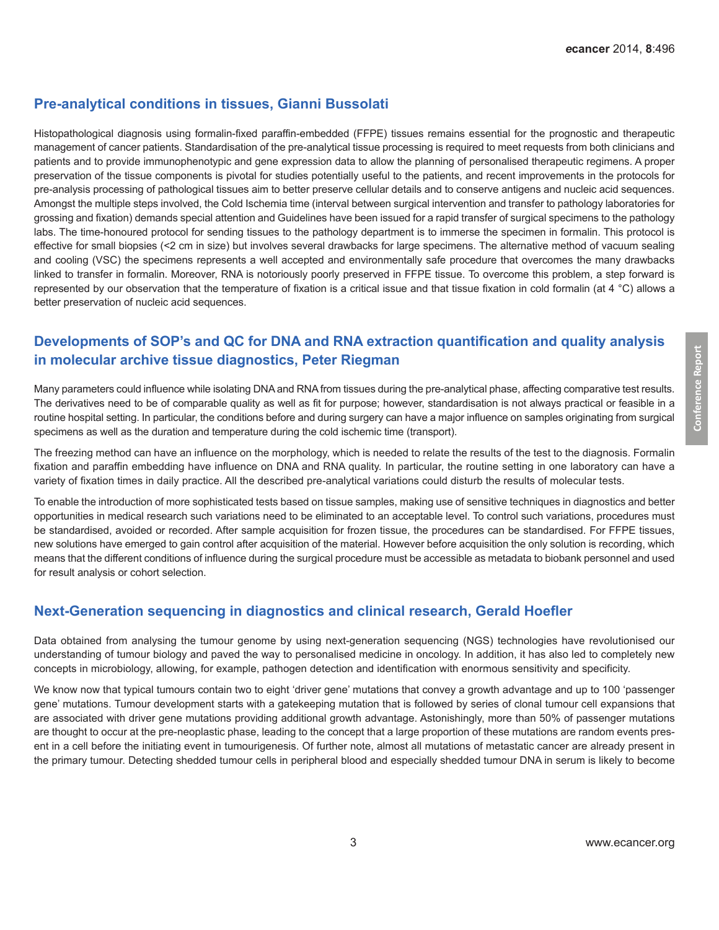**Conference Report**

Conference Report

## **Pre-analytical conditions in tissues, Gianni Bussolati**

Histopathological diagnosis using formalin-fixed paraffin-embedded (FFPE) tissues remains essential for the prognostic and therapeutic management of cancer patients. Standardisation of the pre-analytical tissue processing is required to meet requests from both clinicians and patients and to provide immunophenotypic and gene expression data to allow the planning of personalised therapeutic regimens. A proper preservation of the tissue components is pivotal for studies potentially useful to the patients, and recent improvements in the protocols for pre-analysis processing of pathological tissues aim to better preserve cellular details and to conserve antigens and nucleic acid sequences. Amongst the multiple steps involved, the Cold Ischemia time (interval between surgical intervention and transfer to pathology laboratories for grossing and fixation) demands special attention and Guidelines have been issued for a rapid transfer of surgical specimens to the pathology labs. The time-honoured protocol for sending tissues to the pathology department is to immerse the specimen in formalin. This protocol is effective for small biopsies (<2 cm in size) but involves several drawbacks for large specimens. The alternative method of vacuum sealing and cooling (VSC) the specimens represents a well accepted and environmentally safe procedure that overcomes the many drawbacks linked to transfer in formalin. Moreover, RNA is notoriously poorly preserved in FFPE tissue. To overcome this problem, a step forward is represented by our observation that the temperature of fixation is a critical issue and that tissue fixation in cold formalin (at 4 °C) allows a better preservation of nucleic acid sequences.

## **Developments of SOP's and QC for DNA and RNA extraction quantification and quality analysis in molecular archive tissue diagnostics, Peter Riegman**

Many parameters could influence while isolating DNA and RNA from tissues during the pre-analytical phase, affecting comparative test results. The derivatives need to be of comparable quality as well as fit for purpose; however, standardisation is not always practical or feasible in a routine hospital setting. In particular, the conditions before and during surgery can have a major influence on samples originating from surgical specimens as well as the duration and temperature during the cold ischemic time (transport).

The freezing method can have an influence on the morphology, which is needed to relate the results of the test to the diagnosis. Formalin fixation and paraffin embedding have influence on DNA and RNA quality. In particular, the routine setting in one laboratory can have a variety of fixation times in daily practice. All the described pre-analytical variations could disturb the results of molecular tests.

To enable the introduction of more sophisticated tests based on tissue samples, making use of sensitive techniques in diagnostics and better opportunities in medical research such variations need to be eliminated to an acceptable level. To control such variations, procedures must be standardised, avoided or recorded. After sample acquisition for frozen tissue, the procedures can be standardised. For FFPE tissues, new solutions have emerged to gain control after acquisition of the material. However before acquisition the only solution is recording, which means that the different conditions of influence during the surgical procedure must be accessible as metadata to biobank personnel and used for result analysis or cohort selection.

#### **Next-Generation sequencing in diagnostics and clinical research, Gerald Hoefler**

Data obtained from analysing the tumour genome by using next-generation sequencing (NGS) technologies have revolutionised our understanding of tumour biology and paved the way to personalised medicine in oncology. In addition, it has also led to completely new concepts in microbiology, allowing, for example, pathogen detection and identification with enormous sensitivity and specificity.

We know now that typical tumours contain two to eight 'driver gene' mutations that convey a growth advantage and up to 100 'passenger gene' mutations. Tumour development starts with a gatekeeping mutation that is followed by series of clonal tumour cell expansions that are associated with driver gene mutations providing additional growth advantage. Astonishingly, more than 50% of passenger mutations are thought to occur at the pre-neoplastic phase, leading to the concept that a large proportion of these mutations are random events present in a cell before the initiating event in tumourigenesis. Of further note, almost all mutations of metastatic cancer are already present in the primary tumour. Detecting shedded tumour cells in peripheral blood and especially shedded tumour DNA in serum is likely to become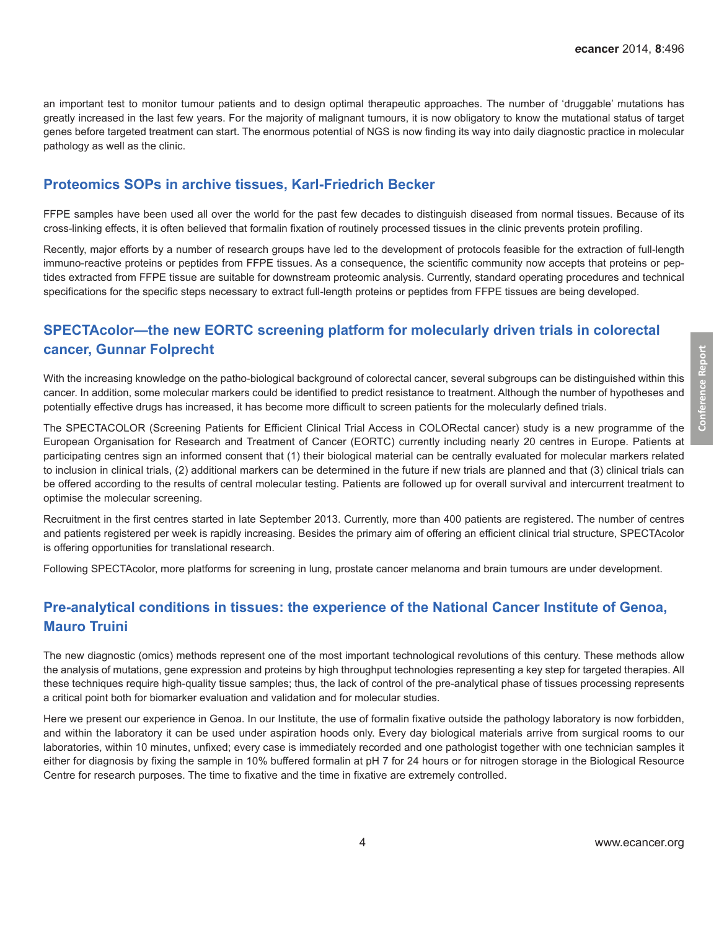an important test to monitor tumour patients and to design optimal therapeutic approaches. The number of 'druggable' mutations has greatly increased in the last few years. For the majority of malignant tumours, it is now obligatory to know the mutational status of target genes before targeted treatment can start. The enormous potential of NGS is now finding its way into daily diagnostic practice in molecular pathology as well as the clinic.

#### **Proteomics SOPs in archive tissues, Karl-Friedrich Becker**

FFPE samples have been used all over the world for the past few decades to distinguish diseased from normal tissues. Because of its cross-linking effects, it is often believed that formalin fixation of routinely processed tissues in the clinic prevents protein profiling.

Recently, major efforts by a number of research groups have led to the development of protocols feasible for the extraction of full-length immuno-reactive proteins or peptides from FFPE tissues. As a consequence, the scientific community now accepts that proteins or peptides extracted from FFPE tissue are suitable for downstream proteomic analysis. Currently, standard operating procedures and technical specifications for the specific steps necessary to extract full-length proteins or peptides from FFPE tissues are being developed.

## **SPECTAcolor—the new EORTC screening platform for molecularly driven trials in colorectal cancer, Gunnar Folprecht**

With the increasing knowledge on the patho-biological background of colorectal cancer, several subgroups can be distinguished within this cancer. In addition, some molecular markers could be identified to predict resistance to treatment. Although the number of hypotheses and potentially effective drugs has increased, it has become more difficult to screen patients for the molecularly defined trials.

The SPECTACOLOR (Screening Patients for Efficient Clinical Trial Access in COLORectal cancer) study is a new programme of the European Organisation for Research and Treatment of Cancer (EORTC) currently including nearly 20 centres in Europe. Patients at participating centres sign an informed consent that (1) their biological material can be centrally evaluated for molecular markers related to inclusion in clinical trials, (2) additional markers can be determined in the future if new trials are planned and that (3) clinical trials can be offered according to the results of central molecular testing. Patients are followed up for overall survival and intercurrent treatment to optimise the molecular screening.

Recruitment in the first centres started in late September 2013. Currently, more than 400 patients are registered. The number of centres and patients registered per week is rapidly increasing. Besides the primary aim of offering an efficient clinical trial structure, SPECTAcolor is offering opportunities for translational research.

Following SPECTAcolor, more platforms for screening in lung, prostate cancer melanoma and brain tumours are under development.

# **Pre-analytical conditions in tissues: the experience of the National Cancer Institute of Genoa, Mauro Truini**

The new diagnostic (omics) methods represent one of the most important technological revolutions of this century. These methods allow the analysis of mutations, gene expression and proteins by high throughput technologies representing a key step for targeted therapies. All these techniques require high-quality tissue samples; thus, the lack of control of the pre-analytical phase of tissues processing represents a critical point both for biomarker evaluation and validation and for molecular studies.

Here we present our experience in Genoa. In our Institute, the use of formalin fixative outside the pathology laboratory is now forbidden, and within the laboratory it can be used under aspiration hoods only. Every day biological materials arrive from surgical rooms to our laboratories, within 10 minutes, unfixed; every case is immediately recorded and one pathologist together with one technician samples it either for diagnosis by fixing the sample in 10% buffered formalin at pH 7 for 24 hours or for nitrogen storage in the Biological Resource Centre for research purposes. The time to fixative and the time in fixative are extremely controlled.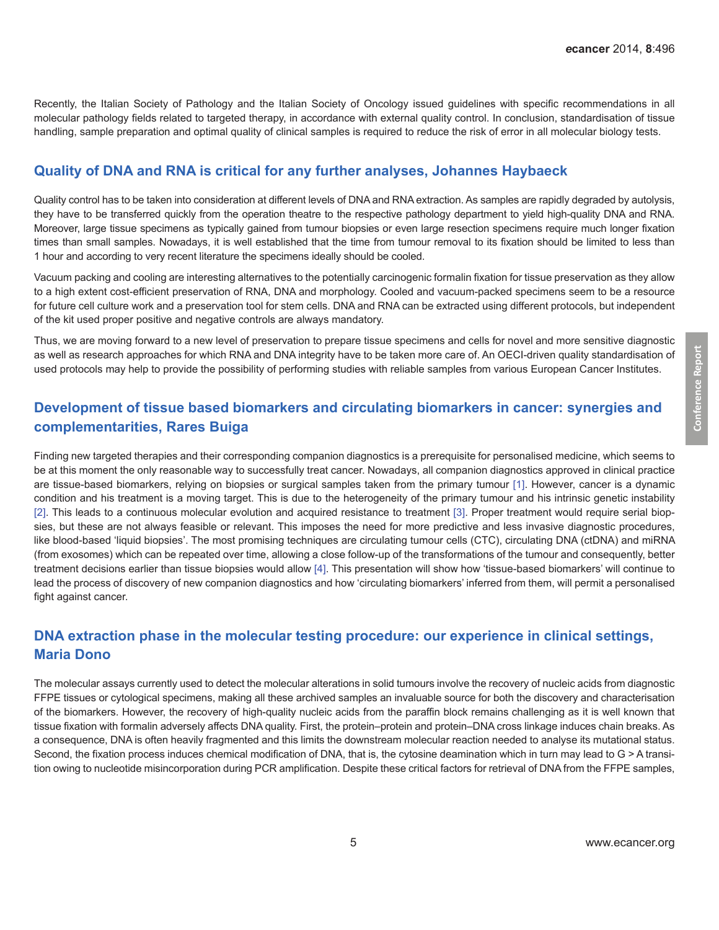Recently, the Italian Society of Pathology and the Italian Society of Oncology issued guidelines with specific recommendations in all molecular pathology fields related to targeted therapy, in accordance with external quality control. In conclusion, standardisation of tissue handling, sample preparation and optimal quality of clinical samples is required to reduce the risk of error in all molecular biology tests.

## **Quality of DNA and RNA is critical for any further analyses, Johannes Haybaeck**

Quality control has to be taken into consideration at different levels of DNA and RNA extraction. As samples are rapidly degraded by autolysis, they have to be transferred quickly from the operation theatre to the respective pathology department to yield high-quality DNA and RNA. Moreover, large tissue specimens as typically gained from tumour biopsies or even large resection specimens require much longer fixation times than small samples. Nowadays, it is well established that the time from tumour removal to its fixation should be limited to less than 1 hour and according to very recent literature the specimens ideally should be cooled.

Vacuum packing and cooling are interesting alternatives to the potentially carcinogenic formalin fixation for tissue preservation as they allow to a high extent cost-efficient preservation of RNA, DNA and morphology. Cooled and vacuum-packed specimens seem to be a resource for future cell culture work and a preservation tool for stem cells. DNA and RNA can be extracted using different protocols, but independent of the kit used proper positive and negative controls are always mandatory.

Thus, we are moving forward to a new level of preservation to prepare tissue specimens and cells for novel and more sensitive diagnostic as well as research approaches for which RNA and DNA integrity have to be taken more care of. An OECI-driven quality standardisation of used protocols may help to provide the possibility of performing studies with reliable samples from various European Cancer Institutes.

# **Development of tissue based biomarkers and circulating biomarkers in cancer: synergies and complementarities, Rares Buiga**

Finding new targeted therapies and their corresponding companion diagnostics is a prerequisite for personalised medicine, which seems to be at this moment the only reasonable way to successfully treat cancer. Nowadays, all companion diagnostics approved in clinical practice are tissue-based biomarkers, relying on biopsies or surgical samples taken from the primary tumour [\[1\]](#page-11-0). However, cancer is a dynamic condition and his treatment is a moving target. This is due to the heterogeneity of the primary tumour and his intrinsic genetic instability [\[2\]](#page-11-0). This leads to a continuous molecular evolution and acquired resistance to treatment [\[3\]](#page-11-0). Proper treatment would require serial biopsies, but these are not always feasible or relevant. This imposes the need for more predictive and less invasive diagnostic procedures, like blood-based 'liquid biopsies'. The most promising techniques are circulating tumour cells (CTC), circulating DNA (ctDNA) and miRNA (from exosomes) which can be repeated over time, allowing a close follow-up of the transformations of the tumour and consequently, better treatment decisions earlier than tissue biopsies would allow [\[4\]](#page-11-0). This presentation will show how 'tissue-based biomarkers' will continue to lead the process of discovery of new companion diagnostics and how 'circulating biomarkers' inferred from them, will permit a personalised fight against cancer.

# **DNA extraction phase in the molecular testing procedure: our experience in clinical settings, Maria Dono**

The molecular assays currently used to detect the molecular alterations in solid tumours involve the recovery of nucleic acids from diagnostic FFPE tissues or cytological specimens, making all these archived samples an invaluable source for both the discovery and characterisation of the biomarkers. However, the recovery of high-quality nucleic acids from the paraffin block remains challenging as it is well known that tissue fixation with formalin adversely affects DNA quality. First, the protein–protein and protein–DNA cross linkage induces chain breaks. As a consequence, DNA is often heavily fragmented and this limits the downstream molecular reaction needed to analyse its mutational status. Second, the fixation process induces chemical modification of DNA, that is, the cytosine deamination which in turn may lead to G > A transition owing to nucleotide misincorporation during PCR amplification. Despite these critical factors for retrieval of DNA from the FFPE samples,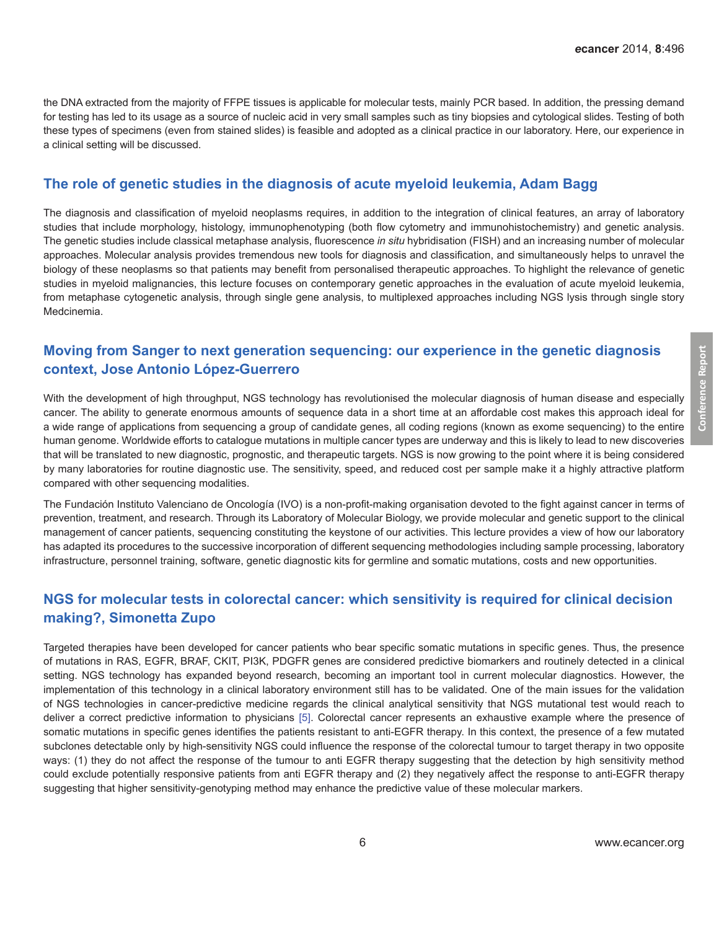the DNA extracted from the majority of FFPE tissues is applicable for molecular tests, mainly PCR based. In addition, the pressing demand for testing has led to its usage as a source of nucleic acid in very small samples such as tiny biopsies and cytological slides. Testing of both these types of specimens (even from stained slides) is feasible and adopted as a clinical practice in our laboratory. Here, our experience in a clinical setting will be discussed.

#### **The role of genetic studies in the diagnosis of acute myeloid leukemia, Adam Bagg**

The diagnosis and classification of myeloid neoplasms requires, in addition to the integration of clinical features, an array of laboratory studies that include morphology, histology, immunophenotyping (both flow cytometry and immunohistochemistry) and genetic analysis. The genetic studies include classical metaphase analysis, fluorescence *in situ* hybridisation (FISH) and an increasing number of molecular approaches. Molecular analysis provides tremendous new tools for diagnosis and classification, and simultaneously helps to unravel the biology of these neoplasms so that patients may benefit from personalised therapeutic approaches. To highlight the relevance of genetic studies in myeloid malignancies, this lecture focuses on contemporary genetic approaches in the evaluation of acute myeloid leukemia, from metaphase cytogenetic analysis, through single gene analysis, to multiplexed approaches including NGS lysis through single story Medcinemia.

## **Moving from Sanger to next generation sequencing: our experience in the genetic diagnosis context, Jose Antonio López-Guerrero**

With the development of high throughput, NGS technology has revolutionised the molecular diagnosis of human disease and especially cancer. The ability to generate enormous amounts of sequence data in a short time at an affordable cost makes this approach ideal for a wide range of applications from sequencing a group of candidate genes, all coding regions (known as exome sequencing) to the entire human genome. Worldwide efforts to catalogue mutations in multiple cancer types are underway and this is likely to lead to new discoveries that will be translated to new diagnostic, prognostic, and therapeutic targets. NGS is now growing to the point where it is being considered by many laboratories for routine diagnostic use. The sensitivity, speed, and reduced cost per sample make it a highly attractive platform compared with other sequencing modalities.

The Fundación Instituto Valenciano de Oncología (IVO) is a non-profit-making organisation devoted to the fight against cancer in terms of prevention, treatment, and research. Through its Laboratory of Molecular Biology, we provide molecular and genetic support to the clinical management of cancer patients, sequencing constituting the keystone of our activities. This lecture provides a view of how our laboratory has adapted its procedures to the successive incorporation of different sequencing methodologies including sample processing, laboratory infrastructure, personnel training, software, genetic diagnostic kits for germline and somatic mutations, costs and new opportunities.

## **NGS for molecular tests in colorectal cancer: which sensitivity is required for clinical decision making?, Simonetta Zupo**

Targeted therapies have been developed for cancer patients who bear specific somatic mutations in specific genes. Thus, the presence of mutations in RAS, EGFR, BRAF, CKIT, PI3K, PDGFR genes are considered predictive biomarkers and routinely detected in a clinical setting. NGS technology has expanded beyond research, becoming an important tool in current molecular diagnostics. However, the implementation of this technology in a clinical laboratory environment still has to be validated. One of the main issues for the validation of NGS technologies in cancer-predictive medicine regards the clinical analytical sensitivity that NGS mutational test would reach to deliver a correct predictive information to physicians [\[5\].](#page-11-0) Colorectal cancer represents an exhaustive example where the presence of somatic mutations in specific genes identifies the patients resistant to anti-EGFR therapy. In this context, the presence of a few mutated subclones detectable only by high-sensitivity NGS could influence the response of the colorectal tumour to target therapy in two opposite ways: (1) they do not affect the response of the tumour to anti EGFR therapy suggesting that the detection by high sensitivity method could exclude potentially responsive patients from anti EGFR therapy and (2) they negatively affect the response to anti-EGFR therapy suggesting that higher sensitivity-genotyping method may enhance the predictive value of these molecular markers.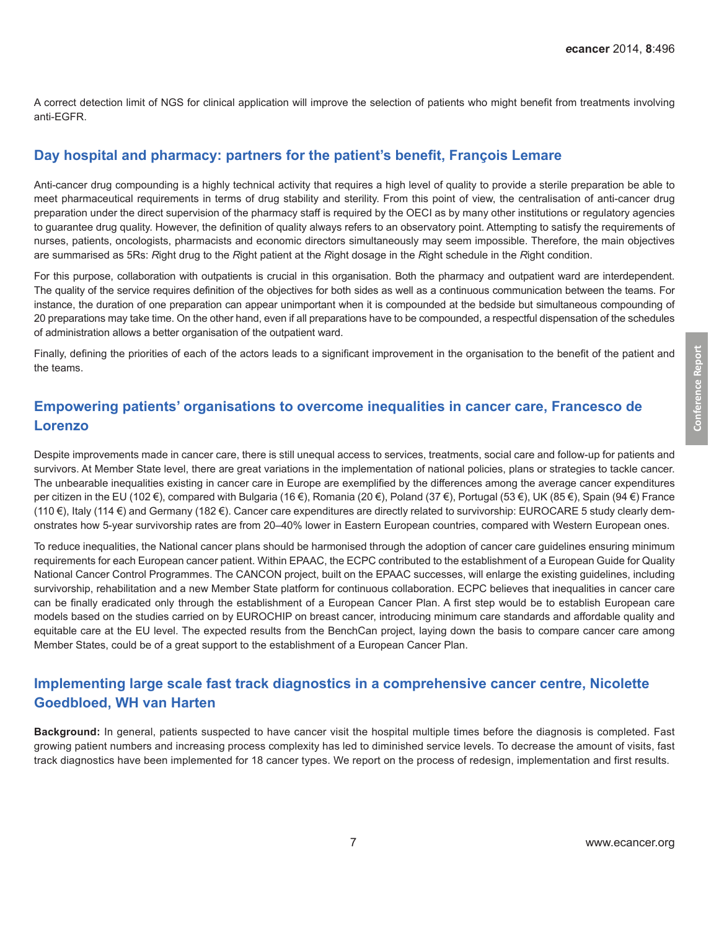A correct detection limit of NGS for clinical application will improve the selection of patients who might benefit from treatments involving anti-EGFR.

## **Day hospital and pharmacy: partners for the patient's benefit, François Lemare**

Anti-cancer drug compounding is a highly technical activity that requires a high level of quality to provide a sterile preparation be able to meet pharmaceutical requirements in terms of drug stability and sterility. From this point of view, the centralisation of anti-cancer drug preparation under the direct supervision of the pharmacy staff is required by the OECI as by many other institutions or regulatory agencies to guarantee drug quality. However, the definition of quality always refers to an observatory point. Attempting to satisfy the requirements of nurses, patients, oncologists, pharmacists and economic directors simultaneously may seem impossible. Therefore, the main objectives are summarised as 5Rs: *R*ight drug to the *R*ight patient at the *R*ight dosage in the *R*ight schedule in the *R*ight condition.

For this purpose, collaboration with outpatients is crucial in this organisation. Both the pharmacy and outpatient ward are interdependent. The quality of the service requires definition of the objectives for both sides as well as a continuous communication between the teams. For instance, the duration of one preparation can appear unimportant when it is compounded at the bedside but simultaneous compounding of 20 preparations may take time. On the other hand, even if all preparations have to be compounded, a respectful dispensation of the schedules of administration allows a better organisation of the outpatient ward.

Finally, defining the priorities of each of the actors leads to a significant improvement in the organisation to the benefit of the patient and the teams.

# **Empowering patients' organisations to overcome inequalities in cancer care, Francesco de Lorenzo**

Despite improvements made in cancer care, there is still unequal access to services, treatments, social care and follow-up for patients and survivors. At Member State level, there are great variations in the implementation of national policies, plans or strategies to tackle cancer. The unbearable inequalities existing in cancer care in Europe are exemplified by the differences among the average cancer expenditures per citizen in the EU (102 €), compared with Bulgaria (16 €), Romania (20 €), Poland (37 €), Portugal (53 €), UK (85 €), Spain (94 €) France (110 €), Italy (114 €) and Germany (182 €). Cancer care expenditures are directly related to survivorship: EUROCARE 5 study clearly demonstrates how 5-year survivorship rates are from 20–40% lower in Eastern European countries, compared with Western European ones.

To reduce inequalities, the National cancer plans should be harmonised through the adoption of cancer care guidelines ensuring minimum requirements for each European cancer patient. Within EPAAC, the ECPC contributed to the establishment of a European Guide for Quality National Cancer Control Programmes. The CANCON project, built on the EPAAC successes, will enlarge the existing guidelines, including survivorship, rehabilitation and a new Member State platform for continuous collaboration. ECPC believes that inequalities in cancer care can be finally eradicated only through the establishment of a European Cancer Plan. A first step would be to establish European care models based on the studies carried on by EUROCHIP on breast cancer, introducing minimum care standards and affordable quality and equitable care at the EU level. The expected results from the BenchCan project, laying down the basis to compare cancer care among Member States, could be of a great support to the establishment of a European Cancer Plan.

# **Implementing large scale fast track diagnostics in a comprehensive cancer centre, Nicolette Goedbloed, WH van Harten**

**Background:** In general, patients suspected to have cancer visit the hospital multiple times before the diagnosis is completed. Fast growing patient numbers and increasing process complexity has led to diminished service levels. To decrease the amount of visits, fast track diagnostics have been implemented for 18 cancer types. We report on the process of redesign, implementation and first results.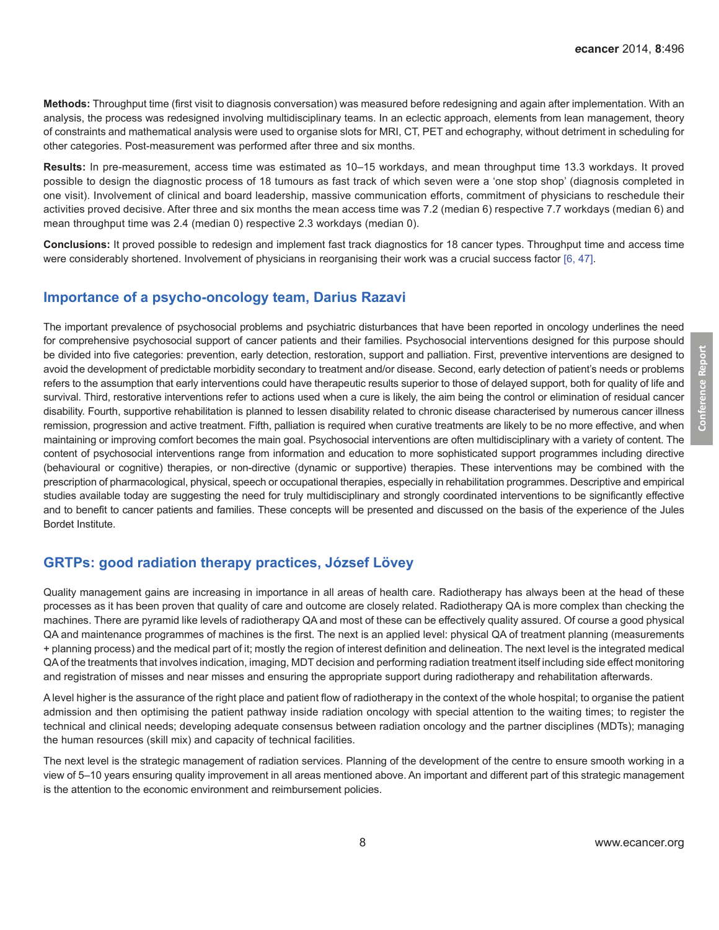**Methods:** Throughput time (first visit to diagnosis conversation) was measured before redesigning and again after implementation. With an analysis, the process was redesigned involving multidisciplinary teams. In an eclectic approach, elements from lean management, theory of constraints and mathematical analysis were used to organise slots for MRI, CT, PET and echography, without detriment in scheduling for other categories. Post-measurement was performed after three and six months.

**Results:** In pre-measurement, access time was estimated as 10–15 workdays, and mean throughput time 13.3 workdays. It proved possible to design the diagnostic process of 18 tumours as fast track of which seven were a 'one stop shop' (diagnosis completed in one visit). Involvement of clinical and board leadership, massive communication efforts, commitment of physicians to reschedule their activities proved decisive. After three and six months the mean access time was 7.2 (median 6) respective 7.7 workdays (median 6) and mean throughput time was 2.4 (median 0) respective 2.3 workdays (median 0).

**Conclusions:** It proved possible to redesign and implement fast track diagnostics for 18 cancer types. Throughput time and access time were considerably shortened. Involvement of physicians in reorganising their work was a crucial success factor [\[6,](#page-11-0) [47\]](#page-13-0).

#### **Importance of a psycho-oncology team, Darius Razavi**

The important prevalence of psychosocial problems and psychiatric disturbances that have been reported in oncology underlines the need for comprehensive psychosocial support of cancer patients and their families. Psychosocial interventions designed for this purpose should be divided into five categories: prevention, early detection, restoration, support and palliation. First, preventive interventions are designed to avoid the development of predictable morbidity secondary to treatment and/or disease. Second, early detection of patient's needs or problems refers to the assumption that early interventions could have therapeutic results superior to those of delayed support, both for quality of life and survival. Third, restorative interventions refer to actions used when a cure is likely, the aim being the control or elimination of residual cancer disability. Fourth, supportive rehabilitation is planned to lessen disability related to chronic disease characterised by numerous cancer illness remission, progression and active treatment. Fifth, palliation is required when curative treatments are likely to be no more effective, and when maintaining or improving comfort becomes the main goal. Psychosocial interventions are often multidisciplinary with a variety of content. The content of psychosocial interventions range from information and education to more sophisticated support programmes including directive (behavioural or cognitive) therapies, or non-directive (dynamic or supportive) therapies. These interventions may be combined with the prescription of pharmacological, physical, speech or occupational therapies, especially in rehabilitation programmes. Descriptive and empirical studies available today are suggesting the need for truly multidisciplinary and strongly coordinated interventions to be significantly effective and to benefit to cancer patients and families. These concepts will be presented and discussed on the basis of the experience of the Jules Bordet Institute.

## **GRTPs: good radiation therapy practices, József Lövey**

Quality management gains are increasing in importance in all areas of health care. Radiotherapy has always been at the head of these processes as it has been proven that quality of care and outcome are closely related. Radiotherapy QA is more complex than checking the machines. There are pyramid like levels of radiotherapy QA and most of these can be effectively quality assured. Of course a good physical QA and maintenance programmes of machines is the first. The next is an applied level: physical QA of treatment planning (measurements + planning process) and the medical part of it; mostly the region of interest definition and delineation. The next level is the integrated medical QA of the treatments that involves indication, imaging, MDT decision and performing radiation treatment itself including side effect monitoring and registration of misses and near misses and ensuring the appropriate support during radiotherapy and rehabilitation afterwards.

A level higher is the assurance of the right place and patient flow of radiotherapy in the context of the whole hospital; to organise the patient admission and then optimising the patient pathway inside radiation oncology with special attention to the waiting times; to register the technical and clinical needs; developing adequate consensus between radiation oncology and the partner disciplines (MDTs); managing the human resources (skill mix) and capacity of technical facilities.

The next level is the strategic management of radiation services. Planning of the development of the centre to ensure smooth working in a view of 5–10 years ensuring quality improvement in all areas mentioned above. An important and different part of this strategic management is the attention to the economic environment and reimbursement policies.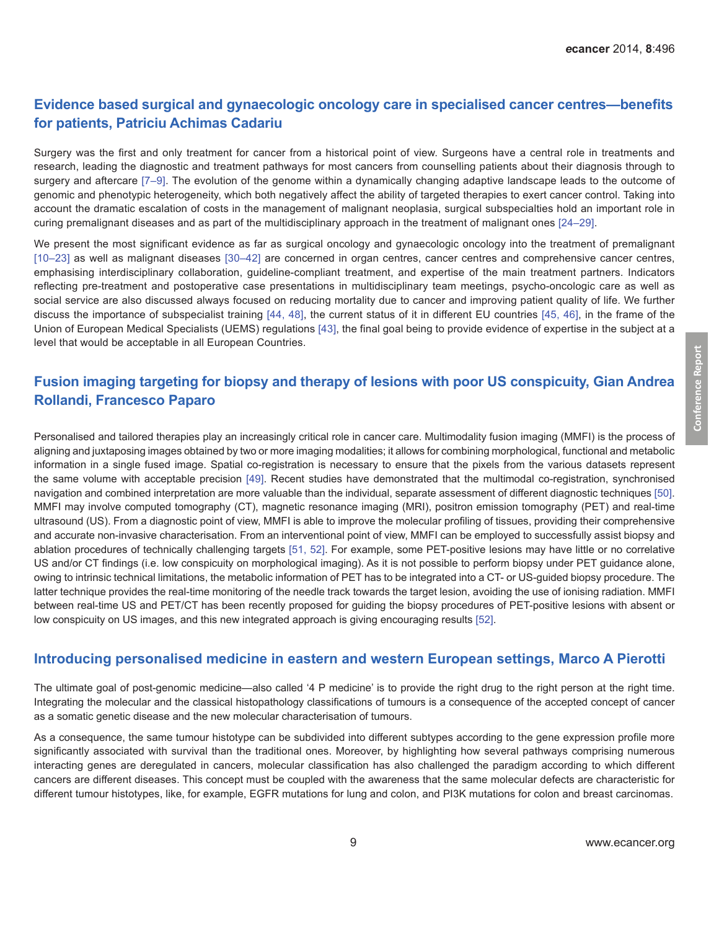# **Evidence based surgical and gynaecologic oncology care in specialised cancer centres—benefits for patients, Patriciu Achimas Cadariu**

Surgery was the first and only treatment for cancer from a historical point of view. Surgeons have a central role in treatments and research, leading the diagnostic and treatment pathways for most cancers from counselling patients about their diagnosis through to surgery and aftercare [\[7–9\]](#page-11-0). The evolution of the genome within a dynamically changing adaptive landscape leads to the outcome of genomic and phenotypic heterogeneity, which both negatively affect the ability of targeted therapies to exert cancer control. Taking into account the dramatic escalation of costs in the management of malignant neoplasia, surgical subspecialties hold an important role in curing premalignant diseases and as part of the multidisciplinary approach in the treatment of malignant ones [\[24–29\]](#page-12-0).

We present the most significant evidence as far as surgical oncology and gynaecologic oncology into the treatment of premalignant [\[10–](#page-11-0)[23\]](#page-12-0) as well as malignant diseases [\[30–](#page-12-0)[42\]](#page-13-0) are concerned in organ centres, cancer centres and comprehensive cancer centres, emphasising interdisciplinary collaboration, guideline-compliant treatment, and expertise of the main treatment partners. Indicators reflecting pre-treatment and postoperative case presentations in multidisciplinary team meetings, psycho-oncologic care as well as social service are also discussed always focused on reducing mortality due to cancer and improving patient quality of life. We further discuss the importance of subspecialist training [\[44,](#page-13-0) 48], the current status of it in different EU countries [\[45,](#page-13-0) 46], in the frame of the Union of European Medical Specialists (UEMS) regulations [\[43\]](#page-13-0), the final goal being to provide evidence of expertise in the subject at a level that would be acceptable in all European Countries.

# **Fusion imaging targeting for biopsy and therapy of lesions with poor US conspicuity, Gian Andrea Rollandi, Francesco Paparo**

Personalised and tailored therapies play an increasingly critical role in cancer care. Multimodality fusion imaging (MMFI) is the process of aligning and juxtaposing images obtained by two or more imaging modalities; it allows for combining morphological, functional and metabolic information in a single fused image. Spatial co-registration is necessary to ensure that the pixels from the various datasets represent the same volume with acceptable precision [\[49\]](#page-13-0). Recent studies have demonstrated that the multimodal co-registration, synchronised navigation and combined interpretation are more valuable than the individual, separate assessment of different diagnostic techniques [\[50\]](#page-13-0). MMFI may involve computed tomography (CT), magnetic resonance imaging (MRI), positron emission tomography (PET) and real-time ultrasound (US). From a diagnostic point of view, MMFI is able to improve the molecular profiling of tissues, providing their comprehensive and accurate non-invasive characterisation. From an interventional point of view, MMFI can be employed to successfully assist biopsy and ablation procedures of technically challenging targets [\[51,](#page-13-0) 52]. For example, some PET-positive lesions may have little or no correlative US and/or CT findings (i.e. low conspicuity on morphological imaging). As it is not possible to perform biopsy under PET guidance alone, owing to intrinsic technical limitations, the metabolic information of PET has to be integrated into a CT- or US-guided biopsy procedure. The latter technique provides the real-time monitoring of the needle track towards the target lesion, avoiding the use of ionising radiation. MMFI between real-time US and PET/CT has been recently proposed for guiding the biopsy procedures of PET-positive lesions with absent or low conspicuity on US images, and this new integrated approach is giving encouraging results [\[52\]](#page-13-0).

#### **Introducing personalised medicine in eastern and western European settings, Marco A Pierotti**

The ultimate goal of post-genomic medicine—also called '4 P medicine' is to provide the right drug to the right person at the right time. Integrating the molecular and the classical histopathology classifications of tumours is a consequence of the accepted concept of cancer as a somatic genetic disease and the new molecular characterisation of tumours.

As a consequence, the same tumour histotype can be subdivided into different subtypes according to the gene expression profile more significantly associated with survival than the traditional ones. Moreover, by highlighting how several pathways comprising numerous interacting genes are deregulated in cancers, molecular classification has also challenged the paradigm according to which different cancers are different diseases. This concept must be coupled with the awareness that the same molecular defects are characteristic for different tumour histotypes, like, for example, EGFR mutations for lung and colon, and PI3K mutations for colon and breast carcinomas.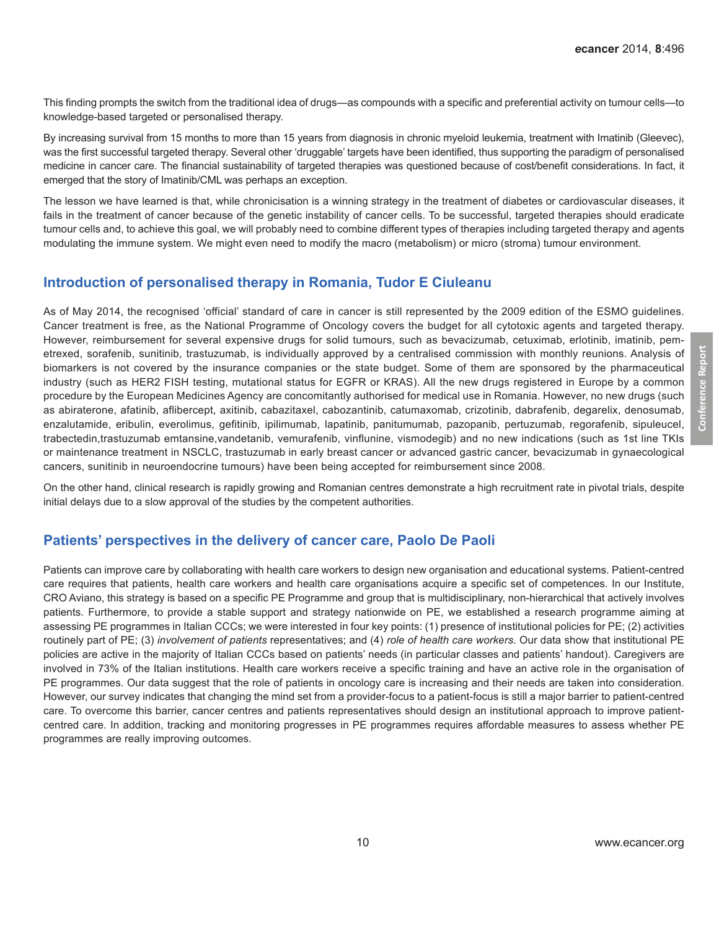This finding prompts the switch from the traditional idea of drugs—as compounds with a specific and preferential activity on tumour cells—to knowledge-based targeted or personalised therapy.

By increasing survival from 15 months to more than 15 years from diagnosis in chronic myeloid leukemia, treatment with Imatinib (Gleevec), was the first successful targeted therapy. Several other 'druggable' targets have been identified, thus supporting the paradigm of personalised medicine in cancer care. The financial sustainability of targeted therapies was questioned because of cost/benefit considerations. In fact, it emerged that the story of Imatinib/CML was perhaps an exception.

The lesson we have learned is that, while chronicisation is a winning strategy in the treatment of diabetes or cardiovascular diseases, it fails in the treatment of cancer because of the genetic instability of cancer cells. To be successful, targeted therapies should eradicate tumour cells and, to achieve this goal, we will probably need to combine different types of therapies including targeted therapy and agents modulating the immune system. We might even need to modify the macro (metabolism) or micro (stroma) tumour environment.

#### **Introduction of personalised therapy in Romania, Tudor E Ciuleanu**

As of May 2014, the recognised 'official' standard of care in cancer is still represented by the 2009 edition of the ESMO guidelines. Cancer treatment is free, as the National Programme of Oncology covers the budget for all cytotoxic agents and targeted therapy. However, reimbursement for several expensive drugs for solid tumours, such as bevacizumab, cetuximab, erlotinib, imatinib, pemetrexed, sorafenib, sunitinib, trastuzumab, is individually approved by a centralised commission with monthly reunions. Analysis of biomarkers is not covered by the insurance companies or the state budget. Some of them are sponsored by the pharmaceutical industry (such as HER2 FISH testing, mutational status for EGFR or KRAS). All the new drugs registered in Europe by a common procedure by the European Medicines Agency are concomitantly authorised for medical use in Romania. However, no new drugs (such as abiraterone, afatinib, aflibercept, axitinib, cabazitaxel, cabozantinib, catumaxomab, crizotinib, dabrafenib, degarelix, denosumab, enzalutamide, eribulin, everolimus, gefitinib, ipilimumab, lapatinib, panitumumab, pazopanib, pertuzumab, regorafenib, sipuleucel, trabectedin,trastuzumab emtansine,vandetanib, vemurafenib, vinflunine, vismodegib) and no new indications (such as 1st line TKIs or maintenance treatment in NSCLC, trastuzumab in early breast cancer or advanced gastric cancer, bevacizumab in gynaecological cancers, sunitinib in neuroendocrine tumours) have been being accepted for reimbursement since 2008.

On the other hand, clinical research is rapidly growing and Romanian centres demonstrate a high recruitment rate in pivotal trials, despite initial delays due to a slow approval of the studies by the competent authorities.

## **Patients' perspectives in the delivery of cancer care, Paolo De Paoli**

Patients can improve care by collaborating with health care workers to design new organisation and educational systems. Patient-centred care requires that patients, health care workers and health care organisations acquire a specific set of competences. In our Institute, CRO Aviano, this strategy is based on a specific PE Programme and group that is multidisciplinary, non-hierarchical that actively involves patients. Furthermore, to provide a stable support and strategy nationwide on PE, we established a research programme aiming at assessing PE programmes in Italian CCCs; we were interested in four key points: (1) presence of institutional policies for PE; (2) activities routinely part of PE; (3) *involvement of patients* representatives; and (4) *role of health care workers*. Our data show that institutional PE policies are active in the majority of Italian CCCs based on patients' needs (in particular classes and patients' handout). Caregivers are involved in 73% of the Italian institutions. Health care workers receive a specific training and have an active role in the organisation of PE programmes. Our data suggest that the role of patients in oncology care is increasing and their needs are taken into consideration. However, our survey indicates that changing the mind set from a provider-focus to a patient-focus is still a major barrier to patient-centred care. To overcome this barrier, cancer centres and patients representatives should design an institutional approach to improve patientcentred care. In addition, tracking and monitoring progresses in PE programmes requires affordable measures to assess whether PE programmes are really improving outcomes.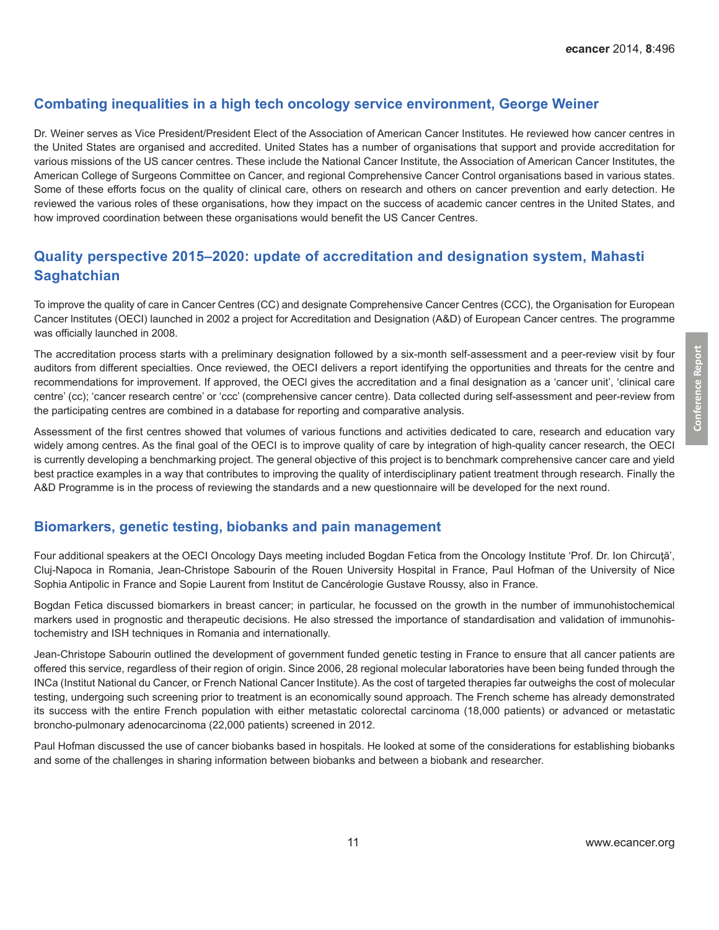# **Combating inequalities in a high tech oncology service environment, George Weiner**

Dr. Weiner serves as Vice President/President Elect of the Association of American Cancer Institutes. He reviewed how cancer centres in the United States are organised and accredited. United States has a number of organisations that support and provide accreditation for various missions of the US cancer centres. These include the National Cancer Institute, the Association of American Cancer Institutes, the American College of Surgeons Committee on Cancer, and regional Comprehensive Cancer Control organisations based in various states. Some of these efforts focus on the quality of clinical care, others on research and others on cancer prevention and early detection. He reviewed the various roles of these organisations, how they impact on the success of academic cancer centres in the United States, and how improved coordination between these organisations would benefit the US Cancer Centres.

# **Quality perspective 2015–2020: update of accreditation and designation system, Mahasti Saghatchian**

To improve the quality of care in Cancer Centres (CC) and designate Comprehensive Cancer Centres (CCC), the Organisation for European Cancer lnstitutes (OECI) launched in 2002 a project for Accreditation and Designation (A&D) of European Cancer centres. The programme was officially launched in 2008.

The accreditation process starts with a preliminary designation followed by a six-month self-assessment and a peer-review visit by four auditors from different specialties. Once reviewed, the OECI delivers a report identifying the opportunities and threats for the centre and recommendations for improvement. If approved, the OECl gives the accreditation and a final designation as a 'cancer unit', 'clinical care centre' (cc); 'cancer research centre' or 'ccc' (comprehensive cancer centre). Data collected during self-assessment and peer-review from the participating centres are combined in a database for reporting and comparative analysis.

Assessment of the first centres showed that volumes of various functions and activities dedicated to care, research and education vary widely among centres. As the final goal of the OECI is to improve quality of care by integration of high-quality cancer research, the OECI is currently developing a benchmarking project. The general objective of this project is to benchmark comprehensive cancer care and yield best practice examples in a way that contributes to improving the quality of interdisciplinary patient treatment through research. Finally the A&D Programme is in the process of reviewing the standards and a new questionnaire will be developed for the next round.

## **Biomarkers, genetic testing, biobanks and pain management**

Four additional speakers at the OECI Oncology Days meeting included Bogdan Fetica from the Oncology Institute 'Prof. Dr. Ion Chircuţă', Cluj-Napoca in Romania, Jean-Christope Sabourin of the Rouen University Hospital in France, Paul Hofman of the University of Nice Sophia Antipolic in France and Sopie Laurent from Institut de Cancérologie Gustave Roussy, also in France.

Bogdan Fetica discussed biomarkers in breast cancer; in particular, he focussed on the growth in the number of immunohistochemical markers used in prognostic and therapeutic decisions. He also stressed the importance of standardisation and validation of immunohistochemistry and ISH techniques in Romania and internationally.

Jean-Christope Sabourin outlined the development of government funded genetic testing in France to ensure that all cancer patients are offered this service, regardless of their region of origin. Since 2006, 28 regional molecular laboratories have been being funded through the INCa (Institut National du Cancer, or French National Cancer Institute). As the cost of targeted therapies far outweighs the cost of molecular testing, undergoing such screening prior to treatment is an economically sound approach. The French scheme has already demonstrated its success with the entire French population with either metastatic colorectal carcinoma (18,000 patients) or advanced or metastatic broncho-pulmonary adenocarcinoma (22,000 patients) screened in 2012.

Paul Hofman discussed the use of cancer biobanks based in hospitals. He looked at some of the considerations for establishing biobanks and some of the challenges in sharing information between biobanks and between a biobank and researcher.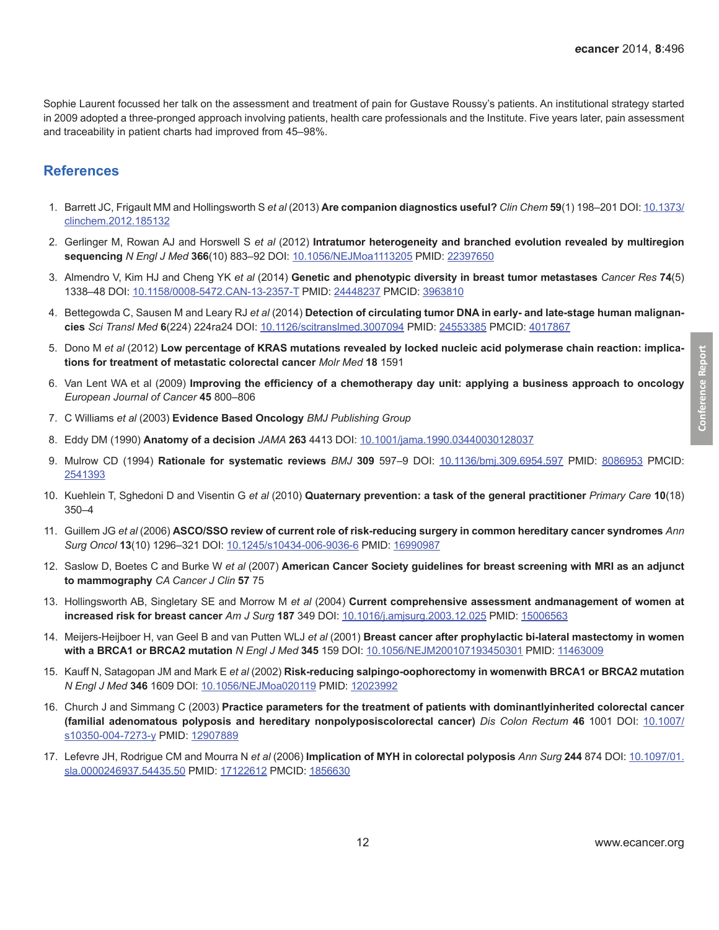<span id="page-11-0"></span>Sophie Laurent focussed her talk on the assessment and treatment of pain for Gustave Roussy's patients. An institutional strategy started in 2009 adopted a three-pronged approach involving patients, health care professionals and the Institute. Five years later, pain assessment and traceability in patient charts had improved from 45–98%.

## **References**

- 1. Barrett JC, Frigault MM and Hollingsworth S *et al* (2013) **Are companion diagnostics useful?** *Clin Chem* **59**(1) 198–201 DOI: [10.1373/](http://dx.doi.org/10.1373/clinchem.2012.185132) [clinchem.2012.185132](http://dx.doi.org/10.1373/clinchem.2012.185132)
- 2. Gerlinger M, Rowan AJ and Horswell S *et al* (2012) **Intratumor heterogeneity and branched evolution revealed by multiregion sequencing** *N Engl J Med* **366**(10) 883–92 DOI: [10.1056/NEJMoa1113205](http://dx.doi.org/10.1056/NEJMoa1113205) PMID: [22397650](http://www.ncbi.nlm.nih.gov/pubmed/22397650)
- 3. Almendro V, Kim HJ and Cheng YK *et al* (2014) **Genetic and phenotypic diversity in breast tumor metastases** *Cancer Res* **74**(5) 1338–48 DOI: [10.1158/0008-5472.CAN-13-2357-](http://dx.doi.org/10.1158/0008-5472.CAN-13-2357-T)T PMID: [24448237](http://www.ncbi.nlm.nih.gov/pubmed/24448237) PMCID: [3963810](http://www.ncbi.nlm.nih.gov/pmc/articles/PMC3963810)
- 4. Bettegowda C, Sausen M and Leary RJ *et al* (2014) **Detection of circulating tumor DNA in early- and late-stage human malignancies** *Sci Transl Med* **6**(224) 224ra24 DOI: [10.1126/scitranslmed.3007094](http://dx.doi.org/10.1126/scitranslmed.3007094) PMID: [24553385](http://www.ncbi.nlm.nih.gov/pubmed/24553385) PMCID: [4017867](http://www.ncbi.nlm.nih.gov/pmc/articles/PMC4017867)
- 5. Dono M *et al* (2012) **Low percentage of KRAS mutations revealed by locked nucleic acid polymerase chain reaction: implications for treatment of metastatic colorectal cancer** *Molr Med* **18** 1591
- 6. Van Lent WA et al (2009) **Improving the efficiency of a chemotherapy day unit: applying a business approach to oncology** *European Journal of Cancer* **45** 800–806
- 7. C Williams *et al* (2003) **Evidence Based Oncology** *BMJ Publishing Group*
- 8. Eddy DM (1990) **Anatomy of a decision** *JAMA* **263** 4413 DOI: [10.1001/jama.1990.0344003012803](http://dx.doi.org/10.1001/jama.1990.03440030128037)7
- 9. Mulrow CD (1994) **Rationale for systematic reviews** *BMJ* **309** 597–9 DOI: [10.1136/bmj.309.6954.59](http://dx.doi.org/10.1136/bmj.309.6954.597)7 PMID: [8086953](http://www.ncbi.nlm.nih.gov/pubmed/8086953) PMCID: [2541393](http://www.ncbi.nlm.nih.gov/pmc/articles/PMC2541393)
- 10. Kuehlein T, Sghedoni D and Visentin G *et al* (2010) **Quaternary prevention: a task of the general practitioner** *Primary Care* **10**(18) 350–4
- 11. Guillem JG *et al* (2006) **ASCO/SSO review of current role of risk-reducing surgery in common hereditary cancer syndromes** *Ann Surg Oncol* **13**(10) 1296–321 DOI: [10.1245/s10434-006-9036-](http://dx.doi.org/10.1245/s10434-006-9036-6)6 PMID: [16990987](http://www.ncbi.nlm.nih.gov/pubmed/16990987)
- 12. Saslow D, Boetes C and Burke W *et al* (2007) **American Cancer Society guidelines for breast screening with MRI as an adjunct to mammography** *CA Cancer J Clin* **57** 75
- 13. Hollingsworth AB, Singletary SE and Morrow M *et al* (2004) **Current comprehensive assessment andmanagement of women at increased risk for breast cancer** *Am J Surg* **187** 349 DOI: [10.1016/j.amjsurg.2003.12.02](http://dx.doi.org/10.1016/j.amjsurg.2003.12.025)5 PMID: [15006563](http://www.ncbi.nlm.nih.gov/pubmed/15006563)
- 14. Meijers-Heijboer H, van Geel B and van Putten WLJ *et al* (2001) **Breast cancer after prophylactic bi-lateral mastectomy in women with a BRCA1 or BRCA2 mutation** *N Engl J Med* **345** 159 DOI: [10.1056/NEJM200107193450301](http://dx.doi.org/10.1056/NEJM200107193450301) PMID: [11463009](http://www.ncbi.nlm.nih.gov/pubmed/11463009)
- 15. Kauff N, Satagopan JM and Mark E *et al* (2002) **Risk-reducing salpingo-oophorectomy in womenwith BRCA1 or BRCA2 mutation** *N Engl J Med* **346** 1609 DOI: [10.1056/NEJMoa020119](http://dx.doi.org/10.1056/NEJMoa020119) PMID: [12023992](http://www.ncbi.nlm.nih.gov/pubmed/12023992)
- 16. Church J and Simmang C (2003) **Practice parameters for the treatment of patients with dominantlyinherited colorectal cancer (familial adenomatous polyposis and hereditary nonpolyposiscolorectal cancer)** *Dis Colon Rectum* **46** 1001 DOI: [10.1007/](http://dx.doi.org/10.1007/s10350-004-7273-y) [s10350-004-7273-](http://dx.doi.org/10.1007/s10350-004-7273-y)y PMID: [12907889](http://www.ncbi.nlm.nih.gov/pubmed/12907889)
- 17. Lefevre JH, Rodrigue CM and Mourra N *et al* (2006) **Implication of MYH in colorectal polyposis** *Ann Surg* **244** 874 DOI: [10.1097/01.](http://dx.doi.org/10.1097/01.sla.0000246937.54435.50) [sla.0000246937.54435.50](http://dx.doi.org/10.1097/01.sla.0000246937.54435.50) PMID: [17122612](http://www.ncbi.nlm.nih.gov/pubmed/17122612) PMCID: [1856630](http://www.ncbi.nlm.nih.gov/pmc/articles/PMC1856630)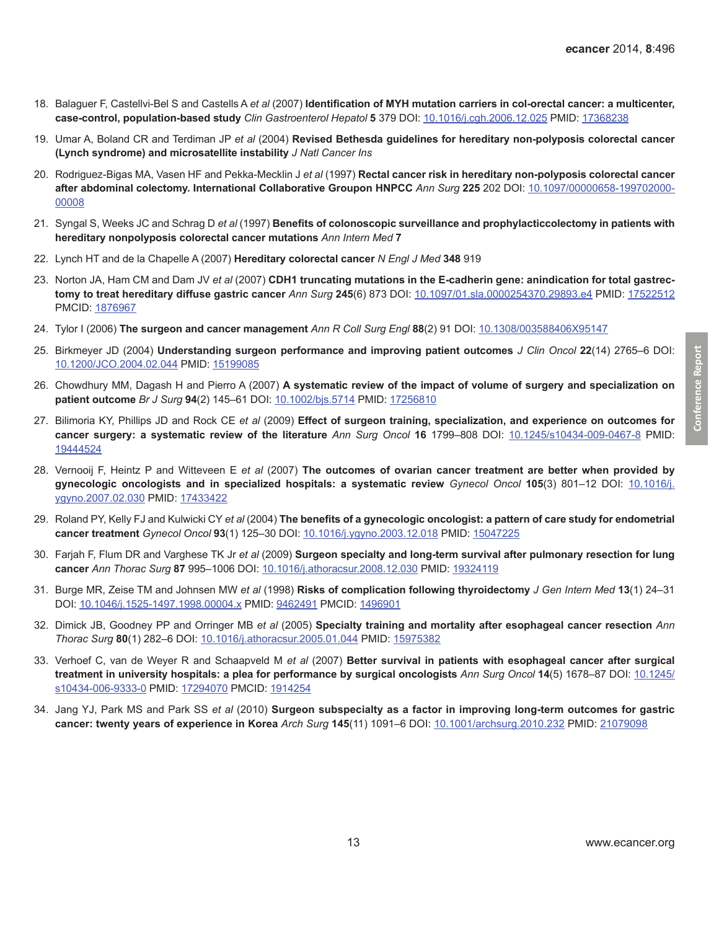- <span id="page-12-0"></span>18. Balaguer F, Castellvi-Bel S and Castells A *et al* (2007) **Identification of MYH mutation carriers in col-orectal cancer: a multicenter, case-control, population-based study** *Clin Gastroenterol Hepatol* **5** 379 DOI: [10.1016/j.cgh.2006.12.02](http://dx.doi.org/10.1016/j.cgh.2006.12.025)5 PMID: [17368238](http://www.ncbi.nlm.nih.gov/pubmed/17368238)
- 19. Umar A, Boland CR and Terdiman JP *et al* (2004) **Revised Bethesda guidelines for hereditary non-polyposis colorectal cancer (Lynch syndrome) and microsatellite instability** *J Natl Cancer Ins*
- 20. Rodriguez-Bigas MA, Vasen HF and Pekka-Mecklin J *et al* (1997) **Rectal cancer risk in hereditary non-polyposis colorectal cancer after abdominal colectomy. International Collaborative Groupon HNPCC** *Ann Surg* **225** 202 DOI: [10.1097/00000658-199702000-](http://dx.doi.org/10.1097/00000658-199702000-00008) [00008](http://dx.doi.org/10.1097/00000658-199702000-00008)
- 21. Syngal S, Weeks JC and Schrag D *et al* (1997) **Benefits of colonoscopic surveillance and prophylacticcolectomy in patients with hereditary nonpolyposis colorectal cancer mutations** *Ann Intern Med* **7**
- 22. Lynch HT and de la Chapelle A (2007) **Hereditary colorectal cancer** *N Engl J Med* **348** 919
- 23. Norton JA, Ham CM and Dam JV *et al* (2007) **CDH1 truncating mutations in the E-cadherin gene: anindication for total gastrectomy to treat hereditary diffuse gastric cancer** *Ann Surg* **245**(6) 873 DOI: [10.1097/01.sla.0000254370.29893.e4](http://dx.doi.org/10.1097/01.sla.0000254370.29893.e4) PMID: [17522512](http://www.ncbi.nlm.nih.gov/pubmed/17522512) PMCID: [1876967](http://www.ncbi.nlm.nih.gov/pmc/articles/PMC1876967)
- 24. Tylor I (2006) **The surgeon and cancer management** *Ann R Coll Surg Engl* **88**(2) 91 DOI: [10.1308/003588406X95147](http://dx.doi.org/10.1308/003588406X95147)
- 25. Birkmeyer JD (2004) **Understanding surgeon performance and improving patient outcomes** *J Clin Oncol* **22**(14) 2765–6 DOI: [10.1200/JCO.2004.02.044](http://dx.doi.org/10.1200/JCO.2004.02.044) PMID: [15199085](http://www.ncbi.nlm.nih.gov/pubmed/15199085)
- 26. Chowdhury MM, Dagash H and Pierro A (2007) **A systematic review of the impact of volume of surgery and specialization on patient outcome** *Br J Surg* **94**(2) 145–61 DOI: [10.1002/bjs.571](http://dx.doi.org/10.1002/bjs.5714)4 PMID: [17256810](http://www.ncbi.nlm.nih.gov/pubmed/17256810)
- 27. Bilimoria KY, Phillips JD and Rock CE *et al* (2009) **Effect of surgeon training, specialization, and experience on outcomes for cancer surgery: a systematic review of the literature** *Ann Surg Oncol* **16** 1799–808 DOI: [10.1245/s10434-009-0467-](http://dx.doi.org/10.1245/s10434-009-0467-8)8 PMID: [19444524](http://www.ncbi.nlm.nih.gov/pubmed/19444524)
- 28. Vernooij F, Heintz P and Witteveen E *et al* (2007) **The outcomes of ovarian cancer treatment are better when provided by gynecologic oncologists and in specialized hospitals: a systematic review** *Gynecol Oncol* **105**(3) 801–12 DOI: [10.1016/j.](http://dx.doi.org/10.1016/j.ygyno.2007.02.030) [ygyno.2007.02.030](http://dx.doi.org/10.1016/j.ygyno.2007.02.030) PMID: [17433422](http://www.ncbi.nlm.nih.gov/pubmed/17433422)
- 29. Roland PY, Kelly FJ and Kulwicki CY *et al* (2004) **The benefits of a gynecologic oncologist: a pattern of care study for endometrial cancer treatment** *Gynecol Oncol* **93**(1) 125–30 DOI: [10.1016/j.ygyno.2003.12.01](http://dx.doi.org/10.1016/j.ygyno.2003.12.018)8 PMID: [15047225](http://www.ncbi.nlm.nih.gov/pubmed/15047225)
- 30. Farjah F, Flum DR and Varghese TK Jr *et al* (2009) **Surgeon specialty and long-term survival after pulmonary resection for lung cancer** *Ann Thorac Surg* **87** 995–1006 DOI: [10.1016/j.athoracsur.2008.12.03](http://dx.doi.org/10.1016/j.athoracsur.2008.12.030)0 PMID: [19324119](http://www.ncbi.nlm.nih.gov/pubmed/19324119)
- 31. Burge MR, Zeise TM and Johnsen MW *et al* (1998) **Risks of complication following thyroidectomy** *J Gen Intern Med* **13**(1) 24–31 DOI: [10.1046/j.1525-1497.1998.00004.](http://dx.doi.org/10.1046/j.1525-1497.1998.00004.x)x PMID: [9462491](http://www.ncbi.nlm.nih.gov/pubmed/9462491) PMCID: [1496901](http://www.ncbi.nlm.nih.gov/pmc/articles/PMC1496901)
- 32. Dimick JB, Goodney PP and Orringer MB *et al* (2005) **Specialty training and mortality after esophageal cancer resection** *Ann Thorac Surg* **80**(1) 282–6 DOI: [10.1016/j.athoracsur.2005.01.04](http://dx.doi.org/10.1016/j.athoracsur.2005.01.044)4 PMID: [15975382](http://www.ncbi.nlm.nih.gov/pubmed/15975382)
- 33. Verhoef C, van de Weyer R and Schaapveld M *et al* (2007) **Better survival in patients with esophageal cancer after surgical treatment in university hospitals: a plea for performance by surgical oncologists** *Ann Surg Oncol* **14**(5) 1678–87 DOI: [10.1245/](http://dx.doi.org/10.1245/s10434-006-9333-0) [s10434-006-9333-](http://dx.doi.org/10.1245/s10434-006-9333-0)0 PMID: [17294070](http://www.ncbi.nlm.nih.gov/pubmed/17294070) PMCID: [1914254](http://www.ncbi.nlm.nih.gov/pmc/articles/PMC1914254)
- 34. Jang YJ, Park MS and Park SS *et al* (2010) **Surgeon subspecialty as a factor in improving long-term outcomes for gastric cancer: twenty years of experience in Korea** *Arch Surg* **145**(11) 1091–6 DOI: [10.1001/archsurg.2010.232](http://dx.doi.org/10.1001/archsurg.2010.232) PMID: [21079098](http://www.ncbi.nlm.nih.gov/pubmed/21079098)